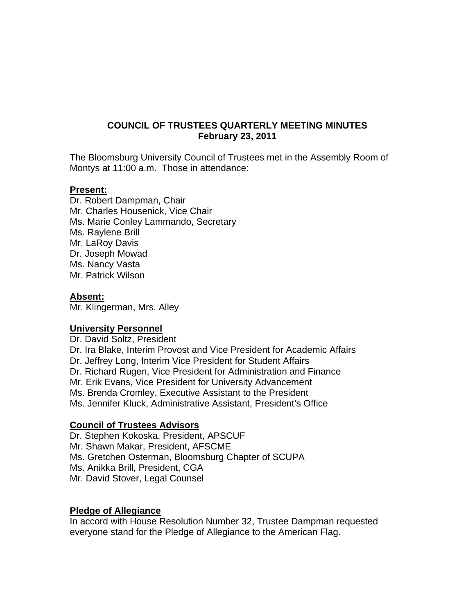# **COUNCIL OF TRUSTEES QUARTERLY MEETING MINUTES February 23, 2011**

The Bloomsburg University Council of Trustees met in the Assembly Room of Montys at 11:00 a.m. Those in attendance:

## **Present:**

Dr. Robert Dampman, Chair Mr. Charles Housenick, Vice Chair Ms. Marie Conley Lammando, Secretary Ms. Raylene Brill Mr. LaRoy Davis Dr. Joseph Mowad Ms. Nancy Vasta Mr. Patrick Wilson

#### **Absent:**

Mr. Klingerman, Mrs. Alley

# **University Personnel**

Dr. David Soltz, President Dr. Ira Blake, Interim Provost and Vice President for Academic Affairs Dr. Jeffrey Long, Interim Vice President for Student Affairs Dr. Richard Rugen, Vice President for Administration and Finance Mr. Erik Evans, Vice President for University Advancement Ms. Brenda Cromley, Executive Assistant to the President Ms. Jennifer Kluck, Administrative Assistant, President's Office

# **Council of Trustees Advisors**

Dr. Stephen Kokoska, President, APSCUF Mr. Shawn Makar, President, AFSCME Ms. Gretchen Osterman, Bloomsburg Chapter of SCUPA Ms. Anikka Brill, President, CGA Mr. David Stover, Legal Counsel

#### **Pledge of Allegiance**

In accord with House Resolution Number 32, Trustee Dampman requested everyone stand for the Pledge of Allegiance to the American Flag.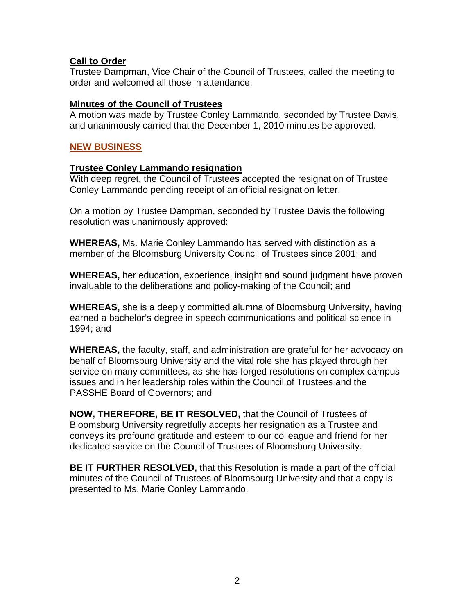# **Call to Order**

Trustee Dampman, Vice Chair of the Council of Trustees, called the meeting to order and welcomed all those in attendance.

# **Minutes of the Council of Trustees**

A motion was made by Trustee Conley Lammando, seconded by Trustee Davis, and unanimously carried that the December 1, 2010 minutes be approved.

# **NEW BUSINESS**

# **Trustee Conley Lammando resignation**

With deep regret, the Council of Trustees accepted the resignation of Trustee Conley Lammando pending receipt of an official resignation letter.

On a motion by Trustee Dampman, seconded by Trustee Davis the following resolution was unanimously approved:

**WHEREAS,** Ms. Marie Conley Lammando has served with distinction as a member of the Bloomsburg University Council of Trustees since 2001; and

**WHEREAS,** her education, experience, insight and sound judgment have proven invaluable to the deliberations and policy-making of the Council; and

**WHEREAS,** she is a deeply committed alumna of Bloomsburg University, having earned a bachelor's degree in speech communications and political science in 1994; and

**WHEREAS,** the faculty, staff, and administration are grateful for her advocacy on behalf of Bloomsburg University and the vital role she has played through her service on many committees, as she has forged resolutions on complex campus issues and in her leadership roles within the Council of Trustees and the PASSHE Board of Governors; and

**NOW, THEREFORE, BE IT RESOLVED,** that the Council of Trustees of Bloomsburg University regretfully accepts her resignation as a Trustee and conveys its profound gratitude and esteem to our colleague and friend for her dedicated service on the Council of Trustees of Bloomsburg University.

**BE IT FURTHER RESOLVED,** that this Resolution is made a part of the official minutes of the Council of Trustees of Bloomsburg University and that a copy is presented to Ms. Marie Conley Lammando.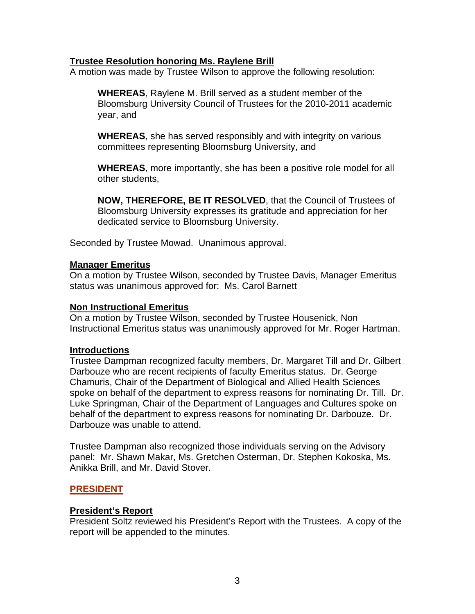## **Trustee Resolution honoring Ms. Raylene Brill**

A motion was made by Trustee Wilson to approve the following resolution:

**WHEREAS**, Raylene M. Brill served as a student member of the Bloomsburg University Council of Trustees for the 2010-2011 academic year, and

**WHEREAS**, she has served responsibly and with integrity on various committees representing Bloomsburg University, and

**WHEREAS**, more importantly, she has been a positive role model for all other students,

**NOW, THEREFORE, BE IT RESOLVED**, that the Council of Trustees of Bloomsburg University expresses its gratitude and appreciation for her dedicated service to Bloomsburg University.

Seconded by Trustee Mowad. Unanimous approval.

## **Manager Emeritus**

On a motion by Trustee Wilson, seconded by Trustee Davis, Manager Emeritus status was unanimous approved for: Ms. Carol Barnett

#### **Non Instructional Emeritus**

On a motion by Trustee Wilson, seconded by Trustee Housenick, Non Instructional Emeritus status was unanimously approved for Mr. Roger Hartman.

#### **Introductions**

Trustee Dampman recognized faculty members, Dr. Margaret Till and Dr. Gilbert Darbouze who are recent recipients of faculty Emeritus status. Dr. George Chamuris, Chair of the Department of Biological and Allied Health Sciences spoke on behalf of the department to express reasons for nominating Dr. Till. Dr. Luke Springman, Chair of the Department of Languages and Cultures spoke on behalf of the department to express reasons for nominating Dr. Darbouze. Dr. Darbouze was unable to attend.

Trustee Dampman also recognized those individuals serving on the Advisory panel: Mr. Shawn Makar, Ms. Gretchen Osterman, Dr. Stephen Kokoska, Ms. Anikka Brill, and Mr. David Stover.

# **PRESIDENT**

# **President's Report**

President Soltz reviewed his President's Report with the Trustees. A copy of the report will be appended to the minutes.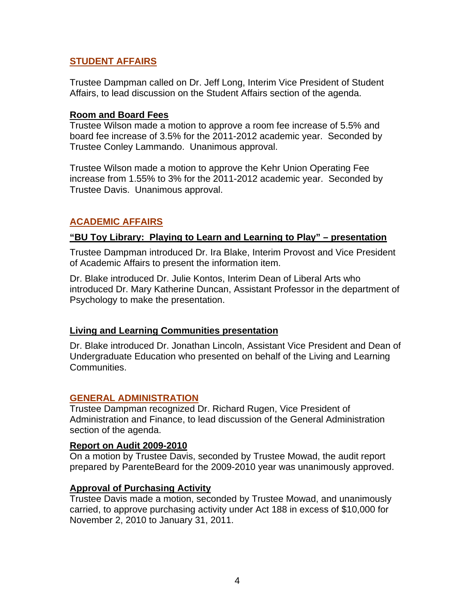# **STUDENT AFFAIRS**

Trustee Dampman called on Dr. Jeff Long, Interim Vice President of Student Affairs, to lead discussion on the Student Affairs section of the agenda.

## **Room and Board Fees**

Trustee Wilson made a motion to approve a room fee increase of 5.5% and board fee increase of 3.5% for the 2011-2012 academic year. Seconded by Trustee Conley Lammando. Unanimous approval.

Trustee Wilson made a motion to approve the Kehr Union Operating Fee increase from 1.55% to 3% for the 2011-2012 academic year. Seconded by Trustee Davis. Unanimous approval.

# **ACADEMIC AFFAIRS**

# **"BU Toy Library: Playing to Learn and Learning to Play" – presentation**

Trustee Dampman introduced Dr. Ira Blake, Interim Provost and Vice President of Academic Affairs to present the information item.

Dr. Blake introduced Dr. Julie Kontos, Interim Dean of Liberal Arts who introduced Dr. Mary Katherine Duncan, Assistant Professor in the department of Psychology to make the presentation.

# **Living and Learning Communities presentation**

Dr. Blake introduced Dr. Jonathan Lincoln, Assistant Vice President and Dean of Undergraduate Education who presented on behalf of the Living and Learning Communities.

# **GENERAL ADMINISTRATION**

Trustee Dampman recognized Dr. Richard Rugen, Vice President of Administration and Finance, to lead discussion of the General Administration section of the agenda.

#### **Report on Audit 2009-2010**

On a motion by Trustee Davis, seconded by Trustee Mowad, the audit report prepared by ParenteBeard for the 2009-2010 year was unanimously approved.

# **Approval of Purchasing Activity**

Trustee Davis made a motion, seconded by Trustee Mowad, and unanimously carried, to approve purchasing activity under Act 188 in excess of \$10,000 for November 2, 2010 to January 31, 2011.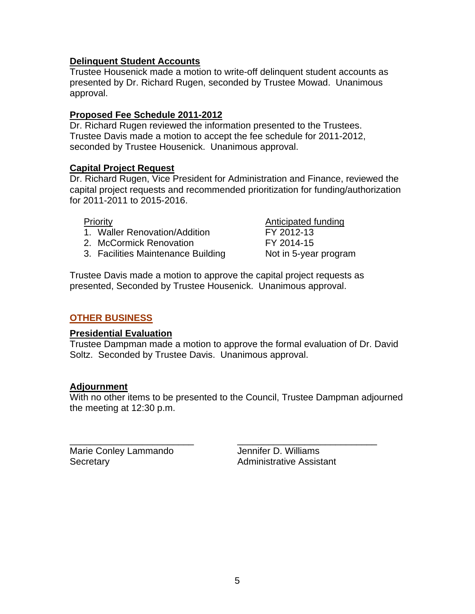# **Delinquent Student Accounts**

Trustee Housenick made a motion to write-off delinquent student accounts as presented by Dr. Richard Rugen, seconded by Trustee Mowad. Unanimous approval.

# **Proposed Fee Schedule 2011-2012**

Dr. Richard Rugen reviewed the information presented to the Trustees. Trustee Davis made a motion to accept the fee schedule for 2011-2012, seconded by Trustee Housenick. Unanimous approval.

# **Capital Project Request**

Dr. Richard Rugen, Vice President for Administration and Finance, reviewed the capital project requests and recommended prioritization for funding/authorization for 2011-2011 to 2015-2016.

- 1. Waller Renovation/Addition FY 2012-13
- 2. McCormick Renovation FY 2014-15
- 3. Facilities Maintenance Building Not in 5-year program

**Priority Anticipated funding** 

Trustee Davis made a motion to approve the capital project requests as presented, Seconded by Trustee Housenick. Unanimous approval.

# **OTHER BUSINESS**

# **Presidential Evaluation**

Trustee Dampman made a motion to approve the formal evaluation of Dr. David Soltz. Seconded by Trustee Davis. Unanimous approval.

# **Adjournment**

With no other items to be presented to the Council, Trustee Dampman adjourned the meeting at 12:30 p.m.

\_\_\_\_\_\_\_\_\_\_\_\_\_\_\_\_\_\_\_\_\_\_\_\_ \_\_\_\_\_\_\_\_\_\_\_\_\_\_\_\_\_\_\_\_\_\_\_\_\_\_\_ Marie Conley Lammando **Jennifer D. Williams** Secretary **Administrative Assistant**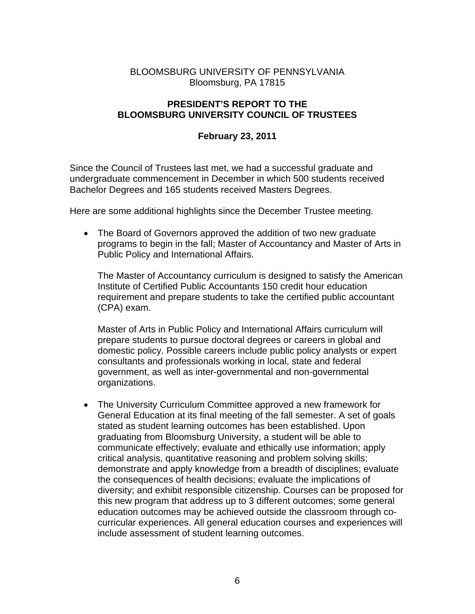# BLOOMSBURG UNIVERSITY OF PENNSYLVANIA Bloomsburg, PA 17815

# **PRESIDENT'S REPORT TO THE BLOOMSBURG UNIVERSITY COUNCIL OF TRUSTEES**

# **February 23, 2011**

Since the Council of Trustees last met, we had a successful graduate and undergraduate commencement in December in which 500 students received Bachelor Degrees and 165 students received Masters Degrees.

Here are some additional highlights since the December Trustee meeting.

• The Board of Governors approved the addition of two new graduate programs to begin in the fall; Master of Accountancy and Master of Arts in Public Policy and International Affairs.

The Master of Accountancy curriculum is designed to satisfy the American Institute of Certified Public Accountants 150 credit hour education requirement and prepare students to take the certified public accountant (CPA) exam.

Master of Arts in Public Policy and International Affairs curriculum will prepare students to pursue doctoral degrees or careers in global and domestic policy. Possible careers include public policy analysts or expert consultants and professionals working in local, state and federal government, as well as inter-governmental and non-governmental organizations.

 The University Curriculum Committee approved a new framework for General Education at its final meeting of the fall semester. A set of goals stated as student learning outcomes has been established. Upon graduating from Bloomsburg University, a student will be able to communicate effectively; evaluate and ethically use information; apply critical analysis, quantitative reasoning and problem solving skills; demonstrate and apply knowledge from a breadth of disciplines; evaluate the consequences of health decisions; evaluate the implications of diversity; and exhibit responsible citizenship. Courses can be proposed for this new program that address up to 3 different outcomes; some general education outcomes may be achieved outside the classroom through cocurricular experiences. All general education courses and experiences will include assessment of student learning outcomes.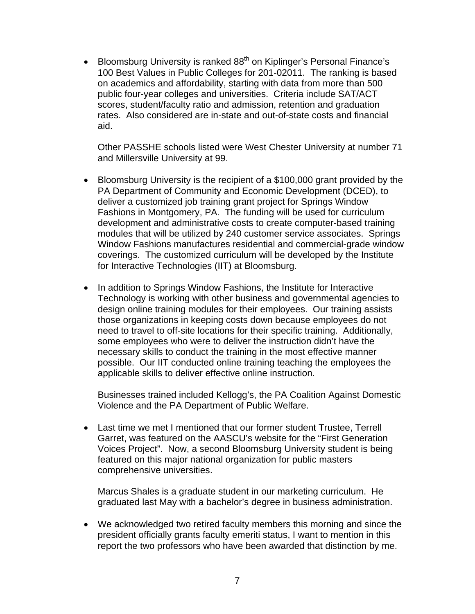**Bloomsburg University is ranked 88<sup>th</sup> on Kiplinger's Personal Finance's** 100 Best Values in Public Colleges for 201-02011. The ranking is based on academics and affordability, starting with data from more than 500 public four-year colleges and universities. Criteria include SAT/ACT scores, student/faculty ratio and admission, retention and graduation rates. Also considered are in-state and out-of-state costs and financial aid.

Other PASSHE schools listed were West Chester University at number 71 and Millersville University at 99.

- Bloomsburg University is the recipient of a \$100,000 grant provided by the PA Department of Community and Economic Development (DCED), to deliver a customized job training grant project for Springs Window Fashions in Montgomery, PA. The funding will be used for curriculum development and administrative costs to create computer-based training modules that will be utilized by 240 customer service associates. Springs Window Fashions manufactures residential and commercial-grade window coverings. The customized curriculum will be developed by the Institute for Interactive Technologies (IIT) at Bloomsburg.
- In addition to Springs Window Fashions, the Institute for Interactive Technology is working with other business and governmental agencies to design online training modules for their employees. Our training assists those organizations in keeping costs down because employees do not need to travel to off-site locations for their specific training. Additionally, some employees who were to deliver the instruction didn't have the necessary skills to conduct the training in the most effective manner possible. Our IIT conducted online training teaching the employees the applicable skills to deliver effective online instruction.

Businesses trained included Kellogg's, the PA Coalition Against Domestic Violence and the PA Department of Public Welfare.

 Last time we met I mentioned that our former student Trustee, Terrell Garret, was featured on the AASCU's website for the "First Generation Voices Project". Now, a second Bloomsburg University student is being featured on this major national organization for public masters comprehensive universities.

Marcus Shales is a graduate student in our marketing curriculum. He graduated last May with a bachelor's degree in business administration.

 We acknowledged two retired faculty members this morning and since the president officially grants faculty emeriti status, I want to mention in this report the two professors who have been awarded that distinction by me.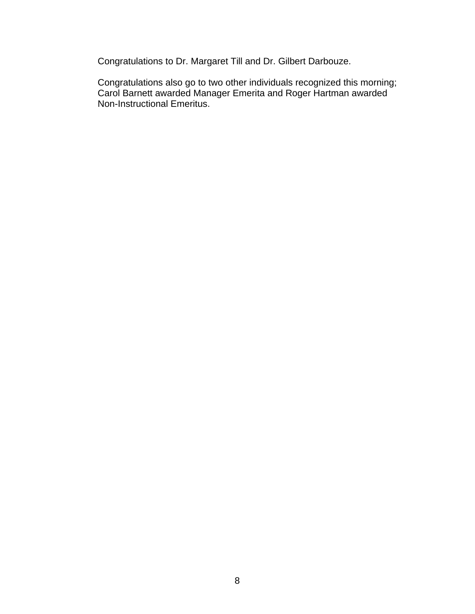Congratulations to Dr. Margaret Till and Dr. Gilbert Darbouze.

Congratulations also go to two other individuals recognized this morning; Carol Barnett awarded Manager Emerita and Roger Hartman awarded Non-Instructional Emeritus.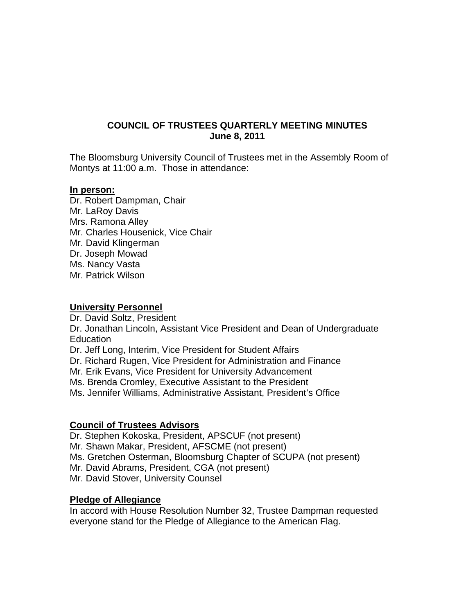# **COUNCIL OF TRUSTEES QUARTERLY MEETING MINUTES June 8, 2011**

The Bloomsburg University Council of Trustees met in the Assembly Room of Montys at 11:00 a.m. Those in attendance:

#### **In person:**

Dr. Robert Dampman, Chair Mr. LaRoy Davis Mrs. Ramona Alley Mr. Charles Housenick, Vice Chair Mr. David Klingerman Dr. Joseph Mowad Ms. Nancy Vasta Mr. Patrick Wilson

## **University Personnel**

Dr. David Soltz, President Dr. Jonathan Lincoln, Assistant Vice President and Dean of Undergraduate Education Dr. Jeff Long, Interim, Vice President for Student Affairs Dr. Richard Rugen, Vice President for Administration and Finance Mr. Erik Evans, Vice President for University Advancement Ms. Brenda Cromley, Executive Assistant to the President Ms. Jennifer Williams, Administrative Assistant, President's Office

# **Council of Trustees Advisors**

Dr. Stephen Kokoska, President, APSCUF (not present)

Mr. Shawn Makar, President, AFSCME (not present)

Ms. Gretchen Osterman, Bloomsburg Chapter of SCUPA (not present)

- Mr. David Abrams, President, CGA (not present)
- Mr. David Stover, University Counsel

# **Pledge of Allegiance**

In accord with House Resolution Number 32, Trustee Dampman requested everyone stand for the Pledge of Allegiance to the American Flag.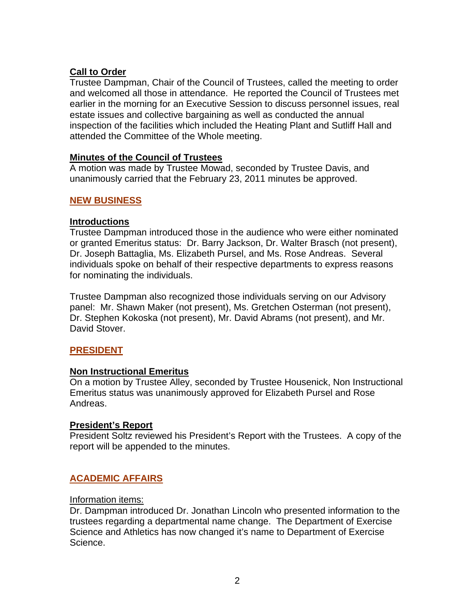# **Call to Order**

Trustee Dampman, Chair of the Council of Trustees, called the meeting to order and welcomed all those in attendance. He reported the Council of Trustees met earlier in the morning for an Executive Session to discuss personnel issues, real estate issues and collective bargaining as well as conducted the annual inspection of the facilities which included the Heating Plant and Sutliff Hall and attended the Committee of the Whole meeting.

# **Minutes of the Council of Trustees**

A motion was made by Trustee Mowad, seconded by Trustee Davis, and unanimously carried that the February 23, 2011 minutes be approved.

# **NEW BUSINESS**

## **Introductions**

Trustee Dampman introduced those in the audience who were either nominated or granted Emeritus status: Dr. Barry Jackson, Dr. Walter Brasch (not present), Dr. Joseph Battaglia, Ms. Elizabeth Pursel, and Ms. Rose Andreas. Several individuals spoke on behalf of their respective departments to express reasons for nominating the individuals.

Trustee Dampman also recognized those individuals serving on our Advisory panel: Mr. Shawn Maker (not present), Ms. Gretchen Osterman (not present), Dr. Stephen Kokoska (not present), Mr. David Abrams (not present), and Mr. David Stover.

# **PRESIDENT**

# **Non Instructional Emeritus**

On a motion by Trustee Alley, seconded by Trustee Housenick, Non Instructional Emeritus status was unanimously approved for Elizabeth Pursel and Rose Andreas.

#### **President's Report**

President Soltz reviewed his President's Report with the Trustees. A copy of the report will be appended to the minutes.

# **ACADEMIC AFFAIRS**

#### Information items:

Dr. Dampman introduced Dr. Jonathan Lincoln who presented information to the trustees regarding a departmental name change. The Department of Exercise Science and Athletics has now changed it's name to Department of Exercise Science.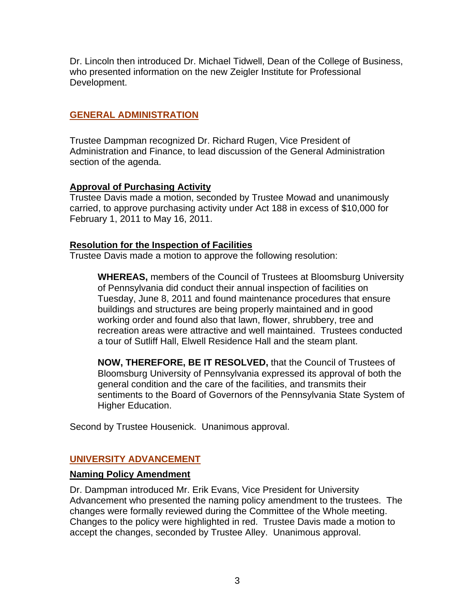Dr. Lincoln then introduced Dr. Michael Tidwell, Dean of the College of Business, who presented information on the new Zeigler Institute for Professional Development.

# **GENERAL ADMINISTRATION**

Trustee Dampman recognized Dr. Richard Rugen, Vice President of Administration and Finance, to lead discussion of the General Administration section of the agenda.

# **Approval of Purchasing Activity**

Trustee Davis made a motion, seconded by Trustee Mowad and unanimously carried, to approve purchasing activity under Act 188 in excess of \$10,000 for February 1, 2011 to May 16, 2011.

# **Resolution for the Inspection of Facilities**

Trustee Davis made a motion to approve the following resolution:

**WHEREAS,** members of the Council of Trustees at Bloomsburg University of Pennsylvania did conduct their annual inspection of facilities on Tuesday, June 8, 2011 and found maintenance procedures that ensure buildings and structures are being properly maintained and in good working order and found also that lawn, flower, shrubbery, tree and recreation areas were attractive and well maintained. Trustees conducted a tour of Sutliff Hall, Elwell Residence Hall and the steam plant.

**NOW, THEREFORE, BE IT RESOLVED,** that the Council of Trustees of Bloomsburg University of Pennsylvania expressed its approval of both the general condition and the care of the facilities, and transmits their sentiments to the Board of Governors of the Pennsylvania State System of Higher Education.

Second by Trustee Housenick. Unanimous approval.

# **UNIVERSITY ADVANCEMENT**

# **Naming Policy Amendment**

Dr. Dampman introduced Mr. Erik Evans, Vice President for University Advancement who presented the naming policy amendment to the trustees. The changes were formally reviewed during the Committee of the Whole meeting. Changes to the policy were highlighted in red. Trustee Davis made a motion to accept the changes, seconded by Trustee Alley. Unanimous approval.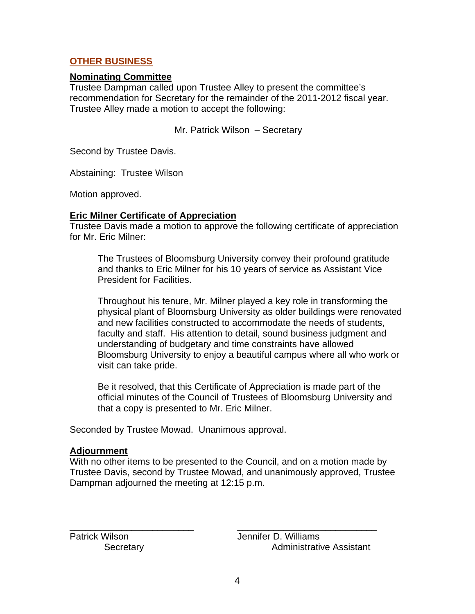# **OTHER BUSINESS**

## **Nominating Committee**

Trustee Dampman called upon Trustee Alley to present the committee's recommendation for Secretary for the remainder of the 2011-2012 fiscal year. Trustee Alley made a motion to accept the following:

Mr. Patrick Wilson – Secretary

Second by Trustee Davis.

Abstaining: Trustee Wilson

Motion approved.

## **Eric Milner Certificate of Appreciation**

Trustee Davis made a motion to approve the following certificate of appreciation for Mr. Eric Milner:

The Trustees of Bloomsburg University convey their profound gratitude and thanks to Eric Milner for his 10 years of service as Assistant Vice President for Facilities.

Throughout his tenure, Mr. Milner played a key role in transforming the physical plant of Bloomsburg University as older buildings were renovated and new facilities constructed to accommodate the needs of students, faculty and staff. His attention to detail, sound business judgment and understanding of budgetary and time constraints have allowed Bloomsburg University to enjoy a beautiful campus where all who work or visit can take pride.

Be it resolved, that this Certificate of Appreciation is made part of the official minutes of the Council of Trustees of Bloomsburg University and that a copy is presented to Mr. Eric Milner.

Seconded by Trustee Mowad. Unanimous approval.

#### **Adjournment**

With no other items to be presented to the Council, and on a motion made by Trustee Davis, second by Trustee Mowad, and unanimously approved, Trustee Dampman adjourned the meeting at 12:15 p.m.

\_\_\_\_\_\_\_\_\_\_\_\_\_\_\_\_\_\_\_\_\_\_\_\_ \_\_\_\_\_\_\_\_\_\_\_\_\_\_\_\_\_\_\_\_\_\_\_\_\_\_\_

Patrick Wilson Jennifer D. Williams Secretary **Administrative Assistant**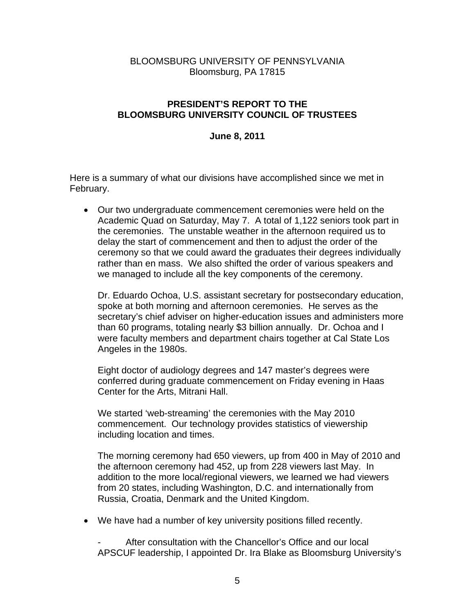# BLOOMSBURG UNIVERSITY OF PENNSYLVANIA Bloomsburg, PA 17815

# **PRESIDENT'S REPORT TO THE BLOOMSBURG UNIVERSITY COUNCIL OF TRUSTEES**

### **June 8, 2011**

Here is a summary of what our divisions have accomplished since we met in February.

 Our two undergraduate commencement ceremonies were held on the Academic Quad on Saturday, May 7. A total of 1,122 seniors took part in the ceremonies. The unstable weather in the afternoon required us to delay the start of commencement and then to adjust the order of the ceremony so that we could award the graduates their degrees individually rather than en mass. We also shifted the order of various speakers and we managed to include all the key components of the ceremony.

Dr. Eduardo Ochoa, U.S. assistant secretary for postsecondary education, spoke at both morning and afternoon ceremonies. He serves as the secretary's chief adviser on higher-education issues and administers more than 60 programs, totaling nearly \$3 billion annually. Dr. Ochoa and I were faculty members and department chairs together at Cal State Los Angeles in the 1980s.

Eight doctor of audiology degrees and 147 master's degrees were conferred during graduate commencement on Friday evening in Haas Center for the Arts, Mitrani Hall.

We started 'web-streaming' the ceremonies with the May 2010 commencement. Our technology provides statistics of viewership including location and times.

The morning ceremony had 650 viewers, up from 400 in May of 2010 and the afternoon ceremony had 452, up from 228 viewers last May. In addition to the more local/regional viewers, we learned we had viewers from 20 states, including Washington, D.C. and internationally from Russia, Croatia, Denmark and the United Kingdom.

We have had a number of key university positions filled recently.

After consultation with the Chancellor's Office and our local APSCUF leadership, I appointed Dr. Ira Blake as Bloomsburg University's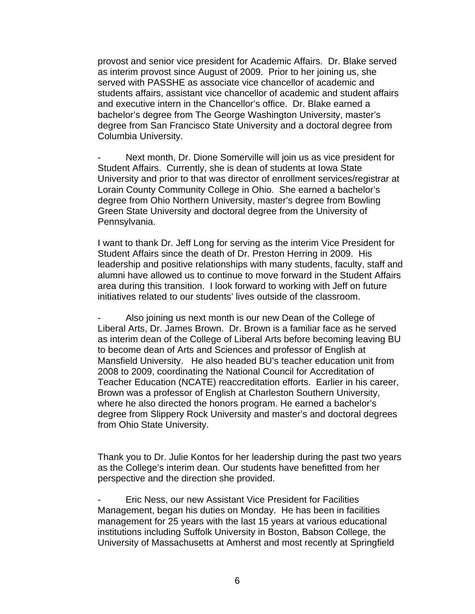provost and senior vice president for Academic Affairs. Dr. Blake served as interim provost since August of 2009. Prior to her joining us, she served with PASSHE as associate vice chancellor of academic and students affairs, assistant vice chancellor of academic and student affairs and executive intern in the Chancellor's office. Dr. Blake earned a bachelor's degree from The George Washington University, master's degree from San Francisco State University and a doctoral degree from Columbia University.

Next month, Dr. Dione Somerville will join us as vice president for Student Affairs. Currently, she is dean of students at Iowa State University and prior to that was director of enrollment services/registrar at Lorain County Community College in Ohio. She earned a bachelor's degree from Ohio Northern University, master's degree from Bowling Green State University and doctoral degree from the University of Pennsylvania.

I want to thank Dr. Jeff Long for serving as the interim Vice President for Student Affairs since the death of Dr. Preston Herring in 2009. His leadership and positive relationships with many students, faculty, staff and alumni have allowed us to continue to move forward in the Student Affairs area during this transition. I look forward to working with Jeff on future initiatives related to our students' lives outside of the classroom.

Also joining us next month is our new Dean of the College of Liberal Arts, Dr. James Brown. Dr. Brown is a familiar face as he served as interim dean of the College of Liberal Arts before becoming leaving BU to become dean of Arts and Sciences and professor of English at Mansfield University. He also headed BU's teacher education unit from 2008 to 2009, coordinating the National Council for Accreditation of Teacher Education (NCATE) reaccreditation efforts. Earlier in his career, Brown was a professor of English at Charleston Southern University, where he also directed the honors program. He earned a bachelor's degree from Slippery Rock University and master's and doctoral degrees from Ohio State University.

Thank you to Dr. Julie Kontos for her leadership during the past two years as the College's interim dean. Our students have benefitted from her perspective and the direction she provided.

Eric Ness, our new Assistant Vice President for Facilities Management, began his duties on Monday. He has been in facilities management for 25 years with the last 15 years at various educational institutions including Suffolk University in Boston, Babson College, the University of Massachusetts at Amherst and most recently at Springfield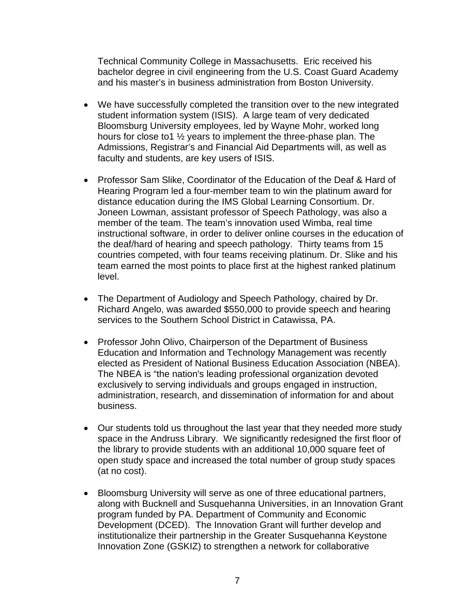Technical Community College in Massachusetts. Eric received his bachelor degree in civil engineering from the U.S. Coast Guard Academy and his master's in business administration from Boston University.

- We have successfully completed the transition over to the new integrated student information system (ISIS). A large team of very dedicated Bloomsburg University employees, led by Wayne Mohr, worked long hours for close to1 ½ years to implement the three-phase plan. The Admissions, Registrar's and Financial Aid Departments will, as well as faculty and students, are key users of ISIS.
- Professor Sam Slike, Coordinator of the Education of the Deaf & Hard of Hearing Program led a four-member team to win the platinum award for distance education during the IMS Global Learning Consortium. Dr. Joneen Lowman, assistant professor of Speech Pathology, was also a member of the team. The team's innovation used Wimba, real time instructional software, in order to deliver online courses in the education of the deaf/hard of hearing and speech pathology. Thirty teams from 15 countries competed, with four teams receiving platinum. Dr. Slike and his team earned the most points to place first at the highest ranked platinum level.
- The Department of Audiology and Speech Pathology, chaired by Dr. Richard Angelo, was awarded \$550,000 to provide speech and hearing services to the Southern School District in Catawissa, PA.
- Professor John Olivo, Chairperson of the Department of Business Education and Information and Technology Management was recently elected as President of National Business Education Association (NBEA). The NBEA is "the nation's leading professional organization devoted exclusively to serving individuals and groups engaged in instruction, administration, research, and dissemination of information for and about business.
- Our students told us throughout the last year that they needed more study space in the Andruss Library. We significantly redesigned the first floor of the library to provide students with an additional 10,000 square feet of open study space and increased the total number of group study spaces (at no cost).
- Bloomsburg University will serve as one of three educational partners, along with Bucknell and Susquehanna Universities, in an Innovation Grant program funded by PA. Department of Community and Economic Development (DCED). The Innovation Grant will further develop and institutionalize their partnership in the Greater Susquehanna Keystone Innovation Zone (GSKIZ) to strengthen a network for collaborative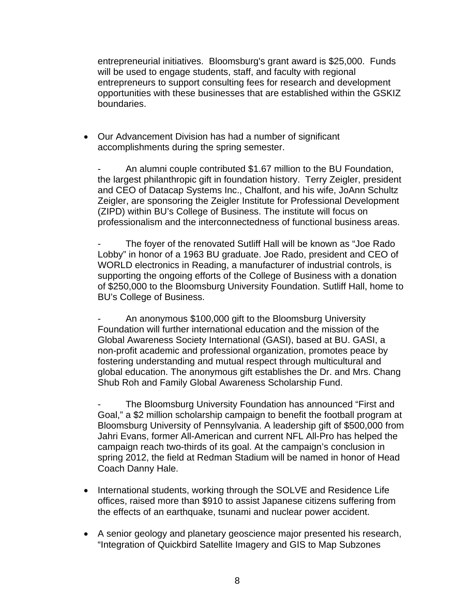entrepreneurial initiatives. Bloomsburg's grant award is \$25,000. Funds will be used to engage students, staff, and faculty with regional entrepreneurs to support consulting fees for research and development opportunities with these businesses that are established within the GSKIZ boundaries.

 Our Advancement Division has had a number of significant accomplishments during the spring semester.

An alumni couple contributed \$1.67 million to the BU Foundation, the largest philanthropic gift in foundation history. Terry Zeigler, president and CEO of Datacap Systems Inc., Chalfont, and his wife, JoAnn Schultz Zeigler, are sponsoring the Zeigler Institute for Professional Development (ZIPD) within BU's College of Business. The institute will focus on professionalism and the interconnectedness of functional business areas.

The foyer of the renovated Sutliff Hall will be known as "Joe Rado" Lobby" in honor of a 1963 BU graduate. Joe Rado, president and CEO of WORLD electronics in Reading, a manufacturer of industrial controls, is supporting the ongoing efforts of the College of Business with a donation of \$250,000 to the Bloomsburg University Foundation. Sutliff Hall, home to BU's College of Business.

An anonymous \$100,000 gift to the Bloomsburg University Foundation will further international education and the mission of the Global Awareness Society International (GASI), based at BU. GASI, a non-profit academic and professional organization, promotes peace by fostering understanding and mutual respect through multicultural and global education. The anonymous gift establishes the Dr. and Mrs. Chang Shub Roh and Family Global Awareness Scholarship Fund.

The Bloomsburg University Foundation has announced "First and Goal," a \$2 million scholarship campaign to benefit the football program at Bloomsburg University of Pennsylvania. A leadership gift of \$500,000 from Jahri Evans, former All-American and current NFL All-Pro has helped the campaign reach two-thirds of its goal. At the campaign's conclusion in spring 2012, the field at Redman Stadium will be named in honor of Head Coach Danny Hale.

- International students, working through the SOLVE and Residence Life offices, raised more than \$910 to assist Japanese citizens suffering from the effects of an earthquake, tsunami and nuclear power accident.
- A senior geology and planetary geoscience major presented his research, "Integration of Quickbird Satellite Imagery and GIS to Map Subzones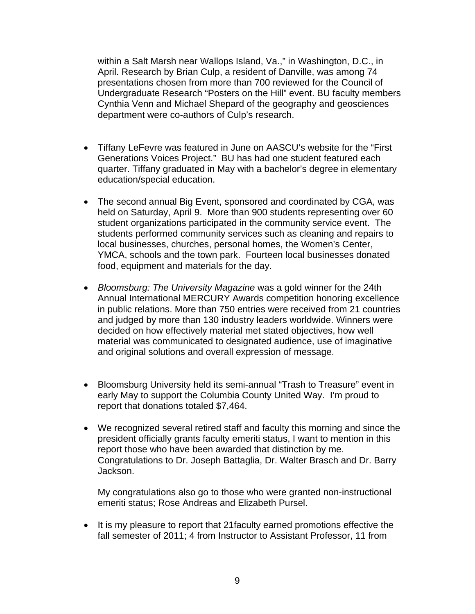within a Salt Marsh near Wallops Island, Va.," in Washington, D.C., in April. Research by Brian Culp, a resident of Danville, was among 74 presentations chosen from more than 700 reviewed for the Council of Undergraduate Research "Posters on the Hill" event. BU faculty members Cynthia Venn and Michael Shepard of the geography and geosciences department were co-authors of Culp's research.

- Tiffany LeFevre was featured in June on AASCU's website for the "First Generations Voices Project." BU has had one student featured each quarter. Tiffany graduated in May with a bachelor's degree in elementary education/special education.
- The second annual Big Event, sponsored and coordinated by CGA, was held on Saturday, April 9. More than 900 students representing over 60 student organizations participated in the community service event. The students performed community services such as cleaning and repairs to local businesses, churches, personal homes, the Women's Center, YMCA, schools and the town park. Fourteen local businesses donated food, equipment and materials for the day.
- *Bloomsburg: The University Magazine* was a gold winner for the 24th Annual International MERCURY Awards competition honoring excellence in public relations. More than 750 entries were received from 21 countries and judged by more than 130 industry leaders worldwide. Winners were decided on how effectively material met stated objectives, how well material was communicated to designated audience, use of imaginative and original solutions and overall expression of message.
- Bloomsburg University held its semi-annual "Trash to Treasure" event in early May to support the Columbia County United Way. I'm proud to report that donations totaled \$7,464.
- We recognized several retired staff and faculty this morning and since the president officially grants faculty emeriti status, I want to mention in this report those who have been awarded that distinction by me. Congratulations to Dr. Joseph Battaglia, Dr. Walter Brasch and Dr. Barry Jackson.

My congratulations also go to those who were granted non-instructional emeriti status; Rose Andreas and Elizabeth Pursel.

• It is my pleasure to report that 21 faculty earned promotions effective the fall semester of 2011; 4 from Instructor to Assistant Professor, 11 from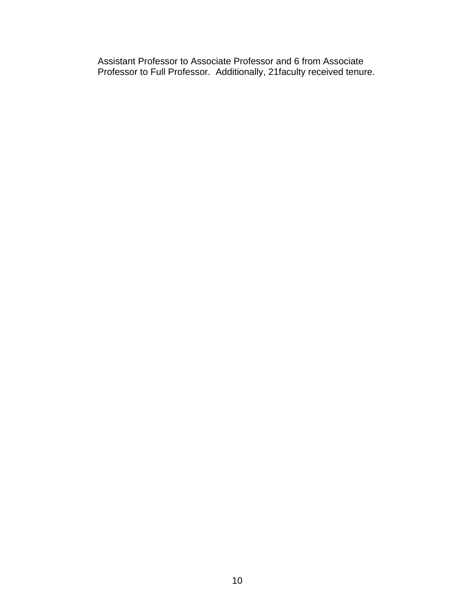Assistant Professor to Associate Professor and 6 from Associate Professor to Full Professor. Additionally, 21faculty received tenure.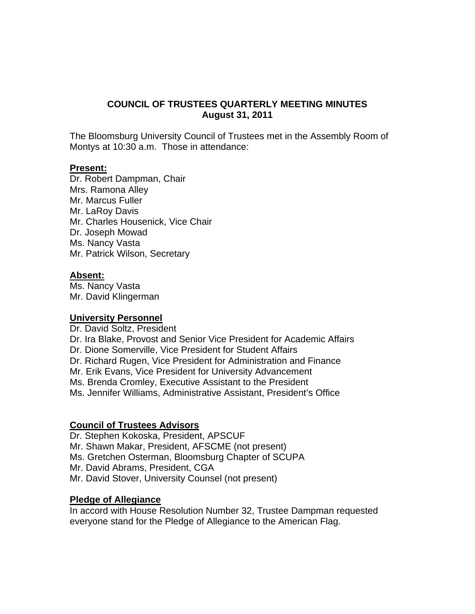# **COUNCIL OF TRUSTEES QUARTERLY MEETING MINUTES August 31, 2011**

The Bloomsburg University Council of Trustees met in the Assembly Room of Montys at 10:30 a.m. Those in attendance:

#### **Present:**

Dr. Robert Dampman, Chair Mrs. Ramona Alley Mr. Marcus Fuller Mr. LaRoy Davis Mr. Charles Housenick, Vice Chair Dr. Joseph Mowad Ms. Nancy Vasta Mr. Patrick Wilson, Secretary

#### **Absent:**

Ms. Nancy Vasta Mr. David Klingerman

#### **University Personnel**

Dr. David Soltz, President Dr. Ira Blake, Provost and Senior Vice President for Academic Affairs Dr. Dione Somerville, Vice President for Student Affairs Dr. Richard Rugen, Vice President for Administration and Finance Mr. Erik Evans, Vice President for University Advancement Ms. Brenda Cromley, Executive Assistant to the President Ms. Jennifer Williams, Administrative Assistant, President's Office

#### **Council of Trustees Advisors**

Dr. Stephen Kokoska, President, APSCUF Mr. Shawn Makar, President, AFSCME (not present) Ms. Gretchen Osterman, Bloomsburg Chapter of SCUPA Mr. David Abrams, President, CGA Mr. David Stover, University Counsel (not present)

#### **Pledge of Allegiance**

In accord with House Resolution Number 32, Trustee Dampman requested everyone stand for the Pledge of Allegiance to the American Flag.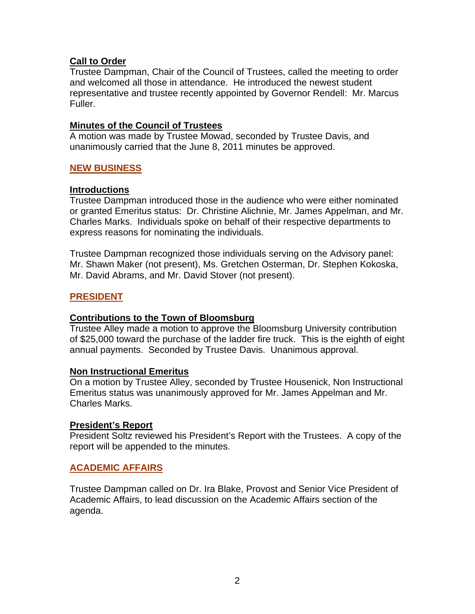# **Call to Order**

Trustee Dampman, Chair of the Council of Trustees, called the meeting to order and welcomed all those in attendance. He introduced the newest student representative and trustee recently appointed by Governor Rendell: Mr. Marcus Fuller.

# **Minutes of the Council of Trustees**

A motion was made by Trustee Mowad, seconded by Trustee Davis, and unanimously carried that the June 8, 2011 minutes be approved.

# **NEW BUSINESS**

# **Introductions**

Trustee Dampman introduced those in the audience who were either nominated or granted Emeritus status: Dr. Christine Alichnie, Mr. James Appelman, and Mr. Charles Marks. Individuals spoke on behalf of their respective departments to express reasons for nominating the individuals.

Trustee Dampman recognized those individuals serving on the Advisory panel: Mr. Shawn Maker (not present), Ms. Gretchen Osterman, Dr. Stephen Kokoska, Mr. David Abrams, and Mr. David Stover (not present).

# **PRESIDENT**

# <sup>U</sup>**Contributions to the Town of Bloomsburg**

Trustee Alley made a motion to approve the Bloomsburg University contribution of \$25,000 toward the purchase of the ladder fire truck. This is the eighth of eight annual payments. Seconded by Trustee Davis. Unanimous approval.

# **Non Instructional Emeritus**

On a motion by Trustee Alley, seconded by Trustee Housenick, Non Instructional Emeritus status was unanimously approved for Mr. James Appelman and Mr. Charles Marks.

# **President's Report**

President Soltz reviewed his President's Report with the Trustees. A copy of the report will be appended to the minutes.

# **ACADEMIC AFFAIRS**

Trustee Dampman called on Dr. Ira Blake, Provost and Senior Vice President of Academic Affairs, to lead discussion on the Academic Affairs section of the agenda.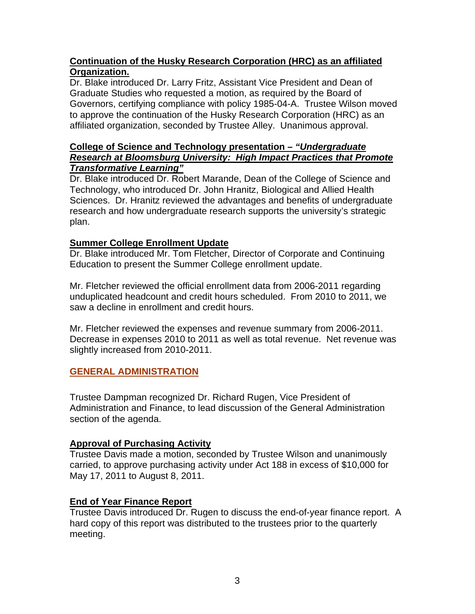# **Continuation of the Husky Research Corporation (HRC) as an affiliated Organization.**

Dr. Blake introduced Dr. Larry Fritz, Assistant Vice President and Dean of Graduate Studies who requested a motion, as required by the Board of Governors, certifying compliance with policy 1985-04-A. Trustee Wilson moved to approve the continuation of the Husky Research Corporation (HRC) as an affiliated organization, seconded by Trustee Alley. Unanimous approval.

# **College of Science and Technology presentation –** *"Undergraduate Research at Bloomsburg University: High Impact Practices that Promote Transformative Learning"*

Dr. Blake introduced Dr. Robert Marande, Dean of the College of Science and Technology, who introduced Dr. John Hranitz, Biological and Allied Health Sciences. Dr. Hranitz reviewed the advantages and benefits of undergraduate research and how undergraduate research supports the university's strategic plan.

# **Summer College Enrollment Update**

Dr. Blake introduced Mr. Tom Fletcher, Director of Corporate and Continuing Education to present the Summer College enrollment update.

Mr. Fletcher reviewed the official enrollment data from 2006-2011 regarding unduplicated headcount and credit hours scheduled. From 2010 to 2011, we saw a decline in enrollment and credit hours.

Mr. Fletcher reviewed the expenses and revenue summary from 2006-2011. Decrease in expenses 2010 to 2011 as well as total revenue. Net revenue was slightly increased from 2010-2011.

# **GENERAL ADMINISTRATION**

Trustee Dampman recognized Dr. Richard Rugen, Vice President of Administration and Finance, to lead discussion of the General Administration section of the agenda.

# **Approval of Purchasing Activity**

Trustee Davis made a motion, seconded by Trustee Wilson and unanimously carried, to approve purchasing activity under Act 188 in excess of \$10,000 for May 17, 2011 to August 8, 2011.

# **End of Year Finance Report**

Trustee Davis introduced Dr. Rugen to discuss the end-of-year finance report. A hard copy of this report was distributed to the trustees prior to the quarterly meeting.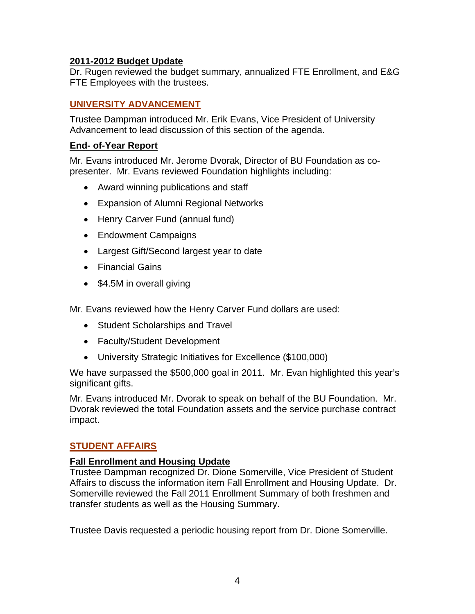# **2011-2012 Budget Update**

Dr. Rugen reviewed the budget summary, annualized FTE Enrollment, and E&G FTE Employees with the trustees.

# **UNIVERSITY ADVANCEMENT**

Trustee Dampman introduced Mr. Erik Evans, Vice President of University Advancement to lead discussion of this section of the agenda.

# **End- of-Year Report**

Mr. Evans introduced Mr. Jerome Dvorak, Director of BU Foundation as copresenter. Mr. Evans reviewed Foundation highlights including:

- Award winning publications and staff
- Expansion of Alumni Regional Networks
- Henry Carver Fund (annual fund)
- Endowment Campaigns
- Largest Gift/Second largest year to date
- Financial Gains
- \$4.5M in overall giving

Mr. Evans reviewed how the Henry Carver Fund dollars are used:

- Student Scholarships and Travel
- Faculty/Student Development
- University Strategic Initiatives for Excellence (\$100,000)

We have surpassed the \$500,000 goal in 2011. Mr. Evan highlighted this year's significant gifts.

Mr. Evans introduced Mr. Dvorak to speak on behalf of the BU Foundation. Mr. Dvorak reviewed the total Foundation assets and the service purchase contract impact.

# **STUDENT AFFAIRS**

# <sup>U</sup>**Fall Enrollment and Housing Update**

Trustee Dampman recognized Dr. Dione Somerville, Vice President of Student Affairs to discuss the information item Fall Enrollment and Housing Update. Dr. Somerville reviewed the Fall 2011 Enrollment Summary of both freshmen and transfer students as well as the Housing Summary.

Trustee Davis requested a periodic housing report from Dr. Dione Somerville.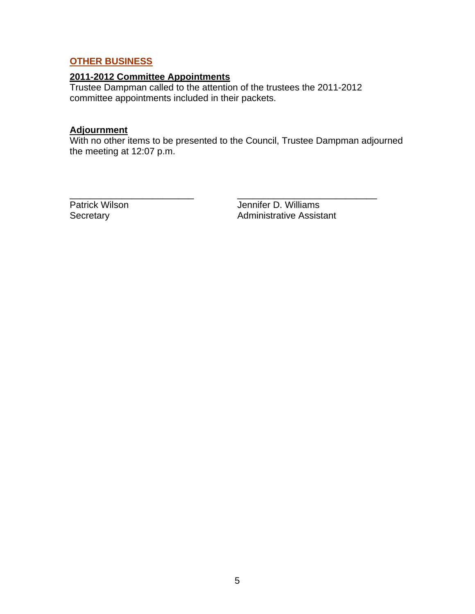# **OTHER BUSINESS**

## **2011-2012 Committee Appointments**

Trustee Dampman called to the attention of the trustees the 2011-2012 committee appointments included in their packets.

# **Adjournment**

With no other items to be presented to the Council, Trustee Dampman adjourned the meeting at 12:07 p.m.

\_\_\_\_\_\_\_\_\_\_\_\_\_\_\_\_\_\_\_\_\_\_\_\_ \_\_\_\_\_\_\_\_\_\_\_\_\_\_\_\_\_\_\_\_\_\_\_\_\_\_\_

Patrick Wilson **Jennifer D. Williams**<br>Secretary **Administrative Assist** Administrative Assistant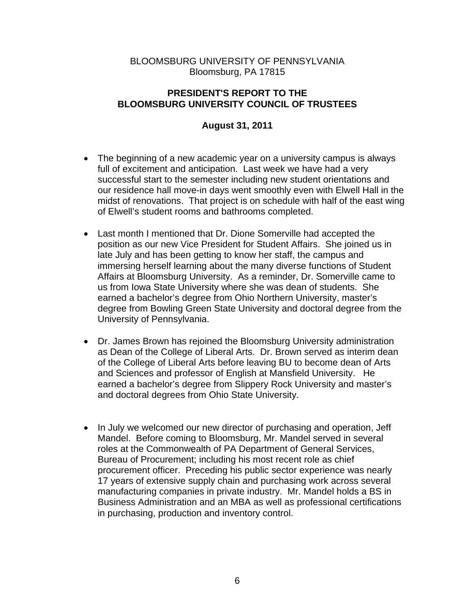# BLOOMSBURG UNIVERSITY OF PENNSYLVANIA Bloomsburg, PA 17815

# **PRESIDENT'S REPORT TO THE BLOOMSBURG UNIVERSITY COUNCIL OF TRUSTEES**

# **August 31, 2011**

- The beginning of a new academic year on a university campus is always full of excitement and anticipation. Last week we have had a very successful start to the semester including new student orientations and our residence hall move-in days went smoothly even with Elwell Hall in the midst of renovations. That project is on schedule with half of the east wing of Elwell's student rooms and bathrooms completed.
- Last month I mentioned that Dr. Dione Somerville had accepted the position as our new Vice President for Student Affairs. She joined us in late July and has been getting to know her staff, the campus and immersing herself learning about the many diverse functions of Student Affairs at Bloomsburg University. As a reminder, Dr. Somerville came to us from Iowa State University where she was dean of students. She earned a bachelor's degree from Ohio Northern University, master's degree from Bowling Green State University and doctoral degree from the University of Pennsylvania.
- Dr. James Brown has rejoined the Bloomsburg University administration as Dean of the College of Liberal Arts. Dr. Brown served as interim dean of the College of Liberal Arts before leaving BU to become dean of Arts and Sciences and professor of English at Mansfield University. He earned a bachelor's degree from Slippery Rock University and master's and doctoral degrees from Ohio State University.
- In July we welcomed our new director of purchasing and operation, Jeff Mandel. Before coming to Bloomsburg, Mr. Mandel served in several roles at the Commonwealth of PA Department of General Services, Bureau of Procurement; including his most recent role as chief procurement officer. Preceding his public sector experience was nearly 17 years of extensive supply chain and purchasing work across several manufacturing companies in private industry. Mr. Mandel holds a BS in Business Administration and an MBA as well as professional certifications in purchasing, production and inventory control.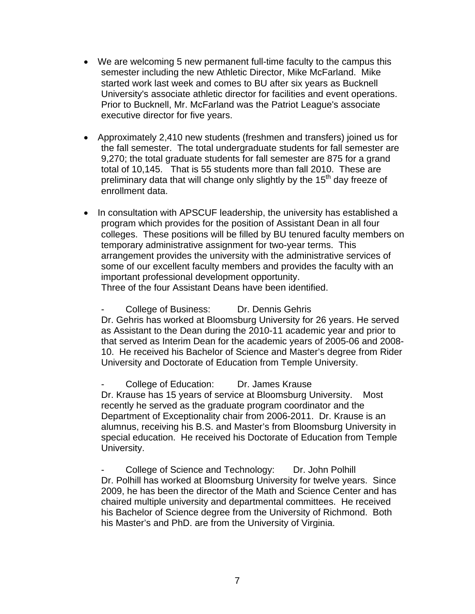- We are welcoming 5 new permanent full-time faculty to the campus this semester including the new Athletic Director, Mike McFarland. Mike started work last week and comes to BU after six years as Bucknell University's associate athletic director for facilities and event operations. Prior to Bucknell, Mr. McFarland was the Patriot League's associate executive director for five years.
- Approximately 2,410 new students (freshmen and transfers) joined us for the fall semester. The total undergraduate students for fall semester are 9,270; the total graduate students for fall semester are 875 for a grand total of 10,145. That is 55 students more than fall 2010. These are preliminary data that will change only slightly by the  $15<sup>th</sup>$  day freeze of enrollment data.
- In consultation with APSCUF leadership, the university has established a program which provides for the position of Assistant Dean in all four colleges. These positions will be filled by BU tenured faculty members on temporary administrative assignment for two-year terms. This arrangement provides the university with the administrative services of some of our excellent faculty members and provides the faculty with an important professional development opportunity.

Three of the four Assistant Deans have been identified.

- College of Business: Dr. Dennis Gehris Dr. Gehris has worked at Bloomsburg University for 26 years. He served as Assistant to the Dean during the 2010-11 academic year and prior to that served as Interim Dean for the academic years of 2005-06 and 2008- 10. He received his Bachelor of Science and Master's degree from Rider University and Doctorate of Education from Temple University.

College of Education: Dr. James Krause Dr. Krause has 15 years of service at Bloomsburg University. Most recently he served as the graduate program coordinator and the Department of Exceptionality chair from 2006-2011. Dr. Krause is an alumnus, receiving his B.S. and Master's from Bloomsburg University in special education. He received his Doctorate of Education from Temple University.

College of Science and Technology: Dr. John Polhill Dr. Polhill has worked at Bloomsburg University for twelve years. Since 2009, he has been the director of the Math and Science Center and has chaired multiple university and departmental committees. He received his Bachelor of Science degree from the University of Richmond. Both his Master's and PhD. are from the University of Virginia.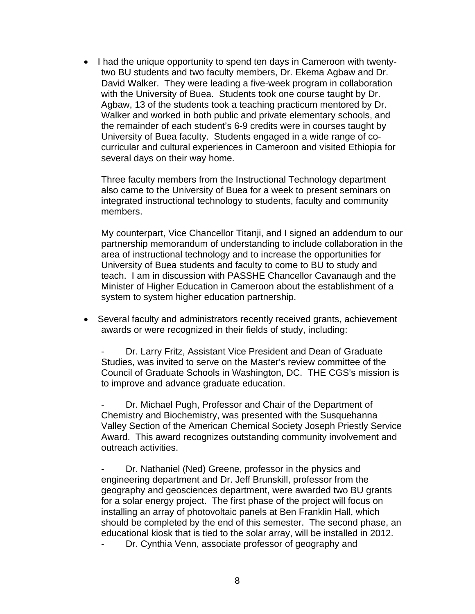• I had the unique opportunity to spend ten days in Cameroon with twentytwo BU students and two faculty members, Dr. Ekema Agbaw and Dr. David Walker. They were leading a five-week program in collaboration with the University of Buea. Students took one course taught by Dr. Agbaw, 13 of the students took a teaching practicum mentored by Dr. Walker and worked in both public and private elementary schools, and the remainder of each student's 6-9 credits were in courses taught by University of Buea faculty. Students engaged in a wide range of cocurricular and cultural experiences in Cameroon and visited Ethiopia for several days on their way home.

Three faculty members from the Instructional Technology department also came to the University of Buea for a week to present seminars on integrated instructional technology to students, faculty and community members.

My counterpart, Vice Chancellor Titanji, and I signed an addendum to our partnership memorandum of understanding to include collaboration in the area of instructional technology and to increase the opportunities for University of Buea students and faculty to come to BU to study and teach. I am in discussion with PASSHE Chancellor Cavanaugh and the Minister of Higher Education in Cameroon about the establishment of a system to system higher education partnership.

 Several faculty and administrators recently received grants, achievement awards or were recognized in their fields of study, including:

Dr. Larry Fritz, Assistant Vice President and Dean of Graduate Studies, was invited to serve on the Master's review committee of the Council of Graduate Schools in Washington, DC. THE CGS's mission is to improve and advance graduate education.

Dr. Michael Pugh, Professor and Chair of the Department of Chemistry and Biochemistry, was presented with the Susquehanna Valley Section of the American Chemical Society Joseph Priestly Service Award. This award recognizes outstanding community involvement and outreach activities.

Dr. Nathaniel (Ned) Greene, professor in the physics and engineering department and Dr. Jeff Brunskill, professor from the geography and geosciences department, were awarded two BU grants for a solar energy project. The first phase of the project will focus on installing an array of photovoltaic panels at Ben Franklin Hall, which should be completed by the end of this semester. The second phase, an educational kiosk that is tied to the solar array, will be installed in 2012.

Dr. Cynthia Venn, associate professor of geography and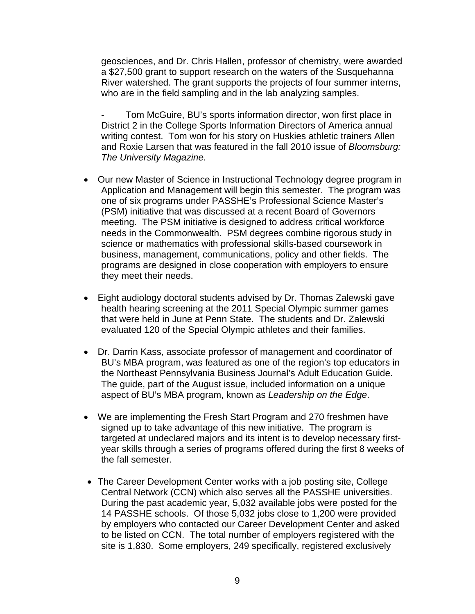geosciences, and Dr. Chris Hallen, professor of chemistry, were awarded a \$27,500 grant to support research on the waters of the Susquehanna River watershed. The grant supports the projects of four summer interns, who are in the field sampling and in the lab analyzing samples.

Tom McGuire, BU's sports information director, won first place in District 2 in the College Sports Information Directors of America annual writing contest. Tom won for his story on Huskies athletic trainers Allen and Roxie Larsen that was featured in the fall 2010 issue of *Bloomsburg: The University Magazine.* 

- Our new Master of Science in Instructional Technology degree program in Application and Management will begin this semester. The program was one of six programs under PASSHE's Professional Science Master's (PSM) initiative that was discussed at a recent Board of Governors meeting. The PSM initiative is designed to address critical workforce needs in the Commonwealth. PSM degrees combine rigorous study in science or mathematics with professional skills-based coursework in business, management, communications, policy and other fields. The programs are designed in close cooperation with employers to ensure they meet their needs.
- Eight audiology doctoral students advised by Dr. Thomas Zalewski gave health hearing screening at the 2011 Special Olympic summer games that were held in June at Penn State. The students and Dr. Zalewski evaluated 120 of the Special Olympic athletes and their families.
- Dr. Darrin Kass, associate professor of management and coordinator of BU's MBA program, was featured as one of the region's top educators in the Northeast Pennsylvania Business Journal's Adult Education Guide. The guide, part of the August issue, included information on a unique aspect of BU's MBA program, known as *Leadership on the Edge*.
- We are implementing the Fresh Start Program and 270 freshmen have signed up to take advantage of this new initiative. The program is targeted at undeclared majors and its intent is to develop necessary firstyear skills through a series of programs offered during the first 8 weeks of the fall semester.
- The Career Development Center works with a job posting site, College Central Network (CCN) which also serves all the PASSHE universities. During the past academic year, 5,032 available jobs were posted for the 14 PASSHE schools. Of those 5,032 jobs close to 1,200 were provided by employers who contacted our Career Development Center and asked to be listed on CCN. The total number of employers registered with the site is 1,830. Some employers, 249 specifically, registered exclusively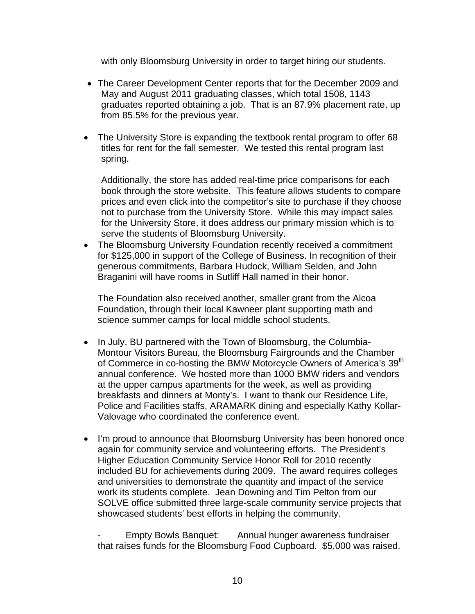with only Bloomsburg University in order to target hiring our students.

- The Career Development Center reports that for the December 2009 and May and August 2011 graduating classes, which total 1508, 1143 graduates reported obtaining a job. That is an 87.9% placement rate, up from 85.5% for the previous year.
- The University Store is expanding the textbook rental program to offer 68 titles for rent for the fall semester. We tested this rental program last spring.

Additionally, the store has added real-time price comparisons for each book through the store website. This feature allows students to compare prices and even click into the competitor's site to purchase if they choose not to purchase from the University Store. While this may impact sales for the University Store, it does address our primary mission which is to serve the students of Bloomsburg University.

• The Bloomsburg University Foundation recently received a commitment for \$125,000 in support of the College of Business. In recognition of their generous commitments, Barbara Hudock, William Selden, and John Braganini will have rooms in Sutliff Hall named in their honor.

The Foundation also received another, smaller grant from the Alcoa Foundation, through their local Kawneer plant supporting math and science summer camps for local middle school students.

- In July, BU partnered with the Town of Bloomsburg, the Columbia-Montour Visitors Bureau, the Bloomsburg Fairgrounds and the Chamber of Commerce in co-hosting the BMW Motorcycle Owners of America's 39<sup>th</sup> annual conference. We hosted more than 1000 BMW riders and vendors at the upper campus apartments for the week, as well as providing breakfasts and dinners at Monty's. I want to thank our Residence Life, Police and Facilities staffs, ARAMARK dining and especially Kathy Kollar-Valovage who coordinated the conference event.
- I'm proud to announce that Bloomsburg University has been honored once again for community service and volunteering efforts. The President's Higher Education Community Service Honor Roll for 2010 recently included BU for achievements during 2009. The award requires colleges and universities to demonstrate the quantity and impact of the service work its students complete. Jean Downing and Tim Pelton from our SOLVE office submitted three large-scale community service projects that showcased students' best efforts in helping the community.

- Empty Bowls Banquet: Annual hunger awareness fundraiser that raises funds for the Bloomsburg Food Cupboard. \$5,000 was raised.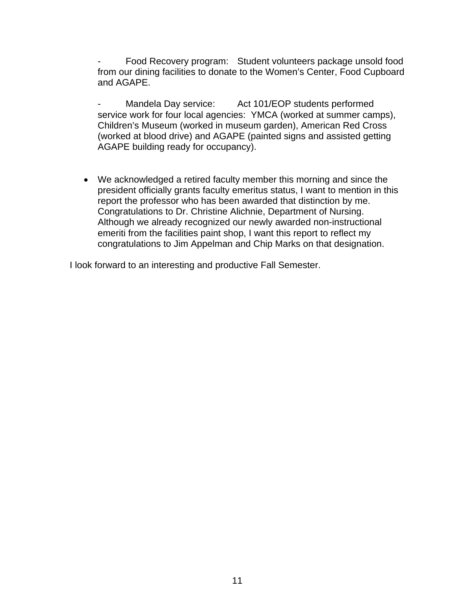Food Recovery program: Student volunteers package unsold food from our dining facilities to donate to the Women's Center, Food Cupboard and AGAPE.

Mandela Day service: Act 101/EOP students performed service work for four local agencies: YMCA (worked at summer camps), Children's Museum (worked in museum garden), American Red Cross (worked at blood drive) and AGAPE (painted signs and assisted getting AGAPE building ready for occupancy).

 We acknowledged a retired faculty member this morning and since the president officially grants faculty emeritus status, I want to mention in this report the professor who has been awarded that distinction by me. Congratulations to Dr. Christine Alichnie, Department of Nursing. Although we already recognized our newly awarded non-instructional emeriti from the facilities paint shop, I want this report to reflect my congratulations to Jim Appelman and Chip Marks on that designation.

I look forward to an interesting and productive Fall Semester.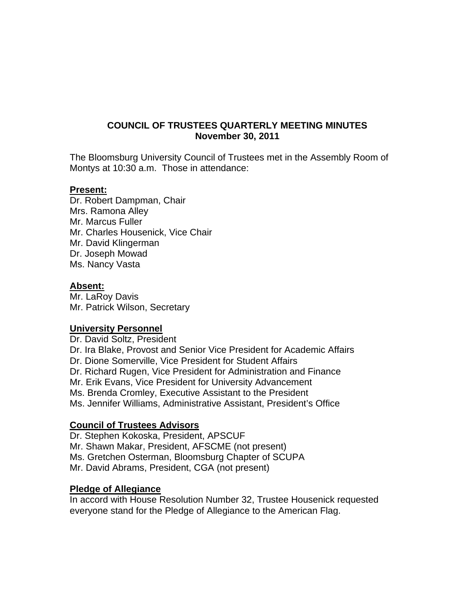# **COUNCIL OF TRUSTEES QUARTERLY MEETING MINUTES November 30, 2011**

The Bloomsburg University Council of Trustees met in the Assembly Room of Montys at 10:30 a.m. Those in attendance:

## **Present:**

Dr. Robert Dampman, Chair Mrs. Ramona Alley Mr. Marcus Fuller Mr. Charles Housenick, Vice Chair Mr. David Klingerman Dr. Joseph Mowad Ms. Nancy Vasta

#### **Absent:**

Mr. LaRoy Davis Mr. Patrick Wilson, Secretary

# **University Personnel**

Dr. David Soltz, President

Dr. Ira Blake, Provost and Senior Vice President for Academic Affairs

Dr. Dione Somerville, Vice President for Student Affairs

Dr. Richard Rugen, Vice President for Administration and Finance

Mr. Erik Evans, Vice President for University Advancement

Ms. Brenda Cromley, Executive Assistant to the President

Ms. Jennifer Williams, Administrative Assistant, President's Office

# **Council of Trustees Advisors**

Dr. Stephen Kokoska, President, APSCUF

Mr. Shawn Makar, President, AFSCME (not present)

Ms. Gretchen Osterman, Bloomsburg Chapter of SCUPA

Mr. David Abrams, President, CGA (not present)

#### **Pledge of Allegiance**

In accord with House Resolution Number 32, Trustee Housenick requested everyone stand for the Pledge of Allegiance to the American Flag.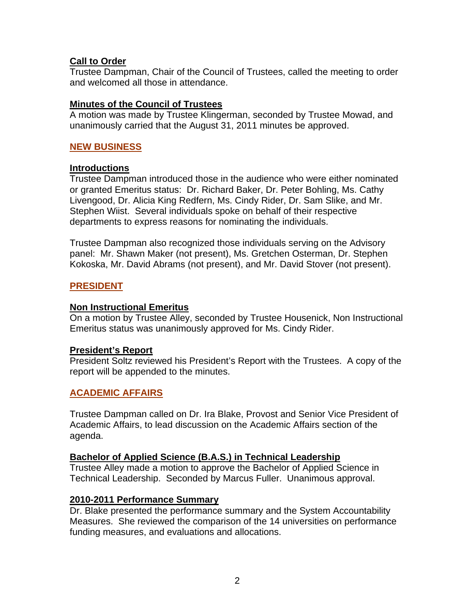# **Call to Order**

Trustee Dampman, Chair of the Council of Trustees, called the meeting to order and welcomed all those in attendance.

# **Minutes of the Council of Trustees**

A motion was made by Trustee Klingerman, seconded by Trustee Mowad, and unanimously carried that the August 31, 2011 minutes be approved.

# **NEW BUSINESS**

# **Introductions**

Trustee Dampman introduced those in the audience who were either nominated or granted Emeritus status: Dr. Richard Baker, Dr. Peter Bohling, Ms. Cathy Livengood, Dr. Alicia King Redfern, Ms. Cindy Rider, Dr. Sam Slike, and Mr. Stephen Wiist. Several individuals spoke on behalf of their respective departments to express reasons for nominating the individuals.

Trustee Dampman also recognized those individuals serving on the Advisory panel: Mr. Shawn Maker (not present), Ms. Gretchen Osterman, Dr. Stephen Kokoska, Mr. David Abrams (not present), and Mr. David Stover (not present).

# **PRESIDENT**

# **Non Instructional Emeritus**

On a motion by Trustee Alley, seconded by Trustee Housenick, Non Instructional Emeritus status was unanimously approved for Ms. Cindy Rider.

# **President's Report**

President Soltz reviewed his President's Report with the Trustees. A copy of the report will be appended to the minutes.

# **ACADEMIC AFFAIRS**

Trustee Dampman called on Dr. Ira Blake, Provost and Senior Vice President of Academic Affairs, to lead discussion on the Academic Affairs section of the agenda.

# **Bachelor of Applied Science (B.A.S.) in Technical Leadership**

Trustee Alley made a motion to approve the Bachelor of Applied Science in Technical Leadership. Seconded by Marcus Fuller. Unanimous approval.

# **2010-2011 Performance Summary**

Dr. Blake presented the performance summary and the System Accountability Measures. She reviewed the comparison of the 14 universities on performance funding measures, and evaluations and allocations.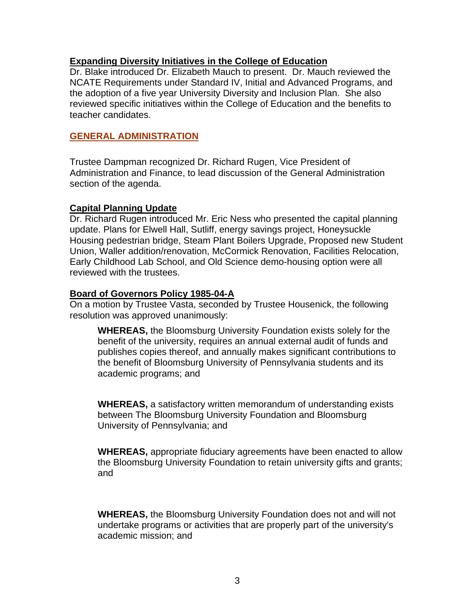## **Expanding Diversity Initiatives in the College of Education**

Dr. Blake introduced Dr. Elizabeth Mauch to present. Dr. Mauch reviewed the NCATE Requirements under Standard IV, Initial and Advanced Programs, and the adoption of a five year University Diversity and Inclusion Plan. She also reviewed specific initiatives within the College of Education and the benefits to teacher candidates.

## **GENERAL ADMINISTRATION**

Trustee Dampman recognized Dr. Richard Rugen, Vice President of Administration and Finance, to lead discussion of the General Administration section of the agenda.

#### **Capital Planning Update**

Dr. Richard Rugen introduced Mr. Eric Ness who presented the capital planning update. Plans for Elwell Hall, Sutliff, energy savings project, Honeysuckle Housing pedestrian bridge, Steam Plant Boilers Upgrade, Proposed new Student Union, Waller addition/renovation, McCormick Renovation, Facilities Relocation, Early Childhood Lab School, and Old Science demo-housing option were all reviewed with the trustees.

## **Board of Governors Policy 1985-04-A**

On a motion by Trustee Vasta, seconded by Trustee Housenick, the following resolution was approved unanimously:

**WHEREAS,** the Bloomsburg University Foundation exists solely for the benefit of the university, requires an annual external audit of funds and publishes copies thereof, and annually makes significant contributions to the benefit of Bloomsburg University of Pennsylvania students and its academic programs; and

**WHEREAS,** a satisfactory written memorandum of understanding exists between The Bloomsburg University Foundation and Bloomsburg University of Pennsylvania; and

**WHEREAS,** appropriate fiduciary agreements have been enacted to allow the Bloomsburg University Foundation to retain university gifts and grants; and

**WHEREAS,** the Bloomsburg University Foundation does not and will not undertake programs or activities that are properly part of the university's academic mission; and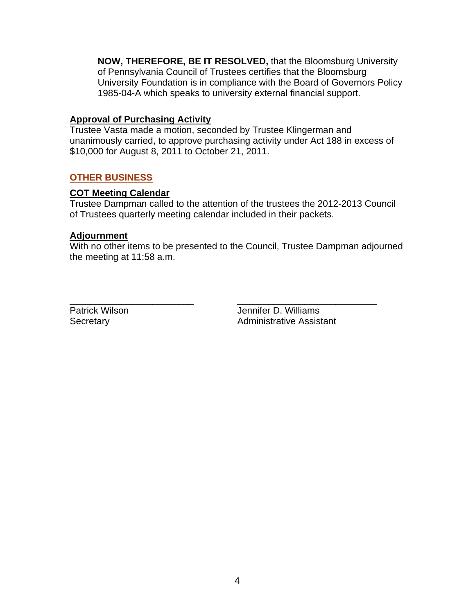**NOW, THEREFORE, BE IT RESOLVED,** that the Bloomsburg University of Pennsylvania Council of Trustees certifies that the Bloomsburg University Foundation is in compliance with the Board of Governors Policy 1985-04-A which speaks to university external financial support.

## **Approval of Purchasing Activity**

Trustee Vasta made a motion, seconded by Trustee Klingerman and unanimously carried, to approve purchasing activity under Act 188 in excess of \$10,000 for August 8, 2011 to October 21, 2011.

# **OTHER BUSINESS**

#### **COT Meeting Calendar**

Trustee Dampman called to the attention of the trustees the 2012-2013 Council of Trustees quarterly meeting calendar included in their packets.

#### **Adjournment**

With no other items to be presented to the Council, Trustee Dampman adjourned the meeting at 11:58 a.m.

\_\_\_\_\_\_\_\_\_\_\_\_\_\_\_\_\_\_\_\_\_\_\_\_ \_\_\_\_\_\_\_\_\_\_\_\_\_\_\_\_\_\_\_\_\_\_\_\_\_\_\_

Patrick Wilson **Disk Exercise State In the United State** Jennifer D. Williams Secretary **Administrative Assistant**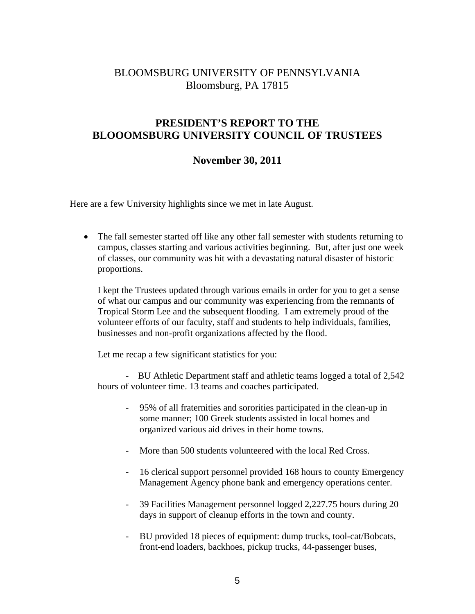# BLOOMSBURG UNIVERSITY OF PENNSYLVANIA Bloomsburg, PA 17815

# **PRESIDENT'S REPORT TO THE BLOOOMSBURG UNIVERSITY COUNCIL OF TRUSTEES**

# **November 30, 2011**

Here are a few University highlights since we met in late August.

• The fall semester started off like any other fall semester with students returning to campus, classes starting and various activities beginning. But, after just one week of classes, our community was hit with a devastating natural disaster of historic proportions.

I kept the Trustees updated through various emails in order for you to get a sense of what our campus and our community was experiencing from the remnants of Tropical Storm Lee and the subsequent flooding. I am extremely proud of the volunteer efforts of our faculty, staff and students to help individuals, families, businesses and non-profit organizations affected by the flood.

Let me recap a few significant statistics for you:

 - BU Athletic Department staff and athletic teams logged a total of 2,542 hours of volunteer time. 13 teams and coaches participated.

- 95% of all fraternities and sororities participated in the clean-up in some manner; 100 Greek students assisted in local homes and organized various aid drives in their home towns.
- More than 500 students volunteered with the local Red Cross.
- 16 clerical support personnel provided 168 hours to county Emergency Management Agency phone bank and emergency operations center.
- 39 Facilities Management personnel logged 2,227.75 hours during 20 days in support of cleanup efforts in the town and county.
- BU provided 18 pieces of equipment: dump trucks, tool-cat/Bobcats, front-end loaders, backhoes, pickup trucks, 44-passenger buses,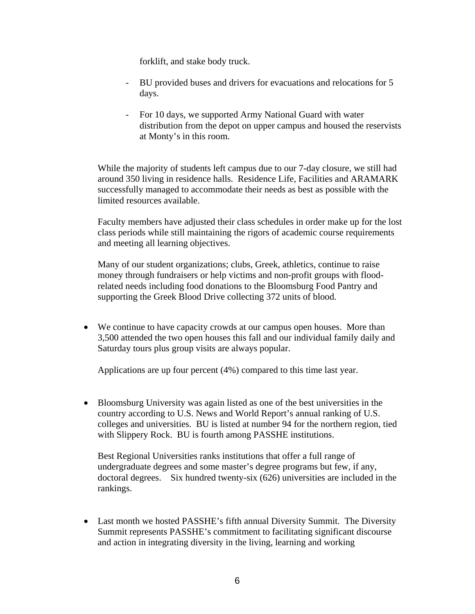forklift, and stake body truck.

- BU provided buses and drivers for evacuations and relocations for 5 days.
- For 10 days, we supported Army National Guard with water distribution from the depot on upper campus and housed the reservists at Monty's in this room.

While the majority of students left campus due to our 7-day closure, we still had around 350 living in residence halls. Residence Life, Facilities and ARAMARK successfully managed to accommodate their needs as best as possible with the limited resources available.

Faculty members have adjusted their class schedules in order make up for the lost class periods while still maintaining the rigors of academic course requirements and meeting all learning objectives.

Many of our student organizations; clubs, Greek, athletics, continue to raise money through fundraisers or help victims and non-profit groups with floodrelated needs including food donations to the Bloomsburg Food Pantry and supporting the Greek Blood Drive collecting 372 units of blood.

 We continue to have capacity crowds at our campus open houses. More than 3,500 attended the two open houses this fall and our individual family daily and Saturday tours plus group visits are always popular.

Applications are up four percent (4%) compared to this time last year.

 Bloomsburg University was again listed as one of the best universities in the country according to U.S. News and World Report's annual ranking of U.S. colleges and universities. BU is listed at number 94 for the northern region, tied with Slippery Rock. BU is fourth among PASSHE institutions.

Best Regional Universities ranks institutions that offer a full range of undergraduate degrees and some master's degree programs but few, if any, doctoral degrees. Six hundred twenty-six (626) universities are included in the rankings.

 Last month we hosted PASSHE's fifth annual Diversity Summit. The Diversity Summit represents PASSHE's commitment to facilitating significant discourse and action in integrating diversity in the living, learning and working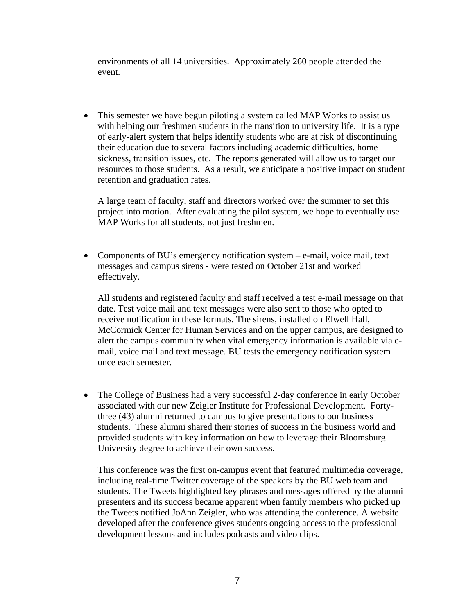environments of all 14 universities. Approximately 260 people attended the event.

• This semester we have begun piloting a system called MAP Works to assist us with helping our freshmen students in the transition to university life. It is a type of early-alert system that helps identify students who are at risk of discontinuing their education due to several factors including academic difficulties, home sickness, transition issues, etc. The reports generated will allow us to target our resources to those students. As a result, we anticipate a positive impact on student retention and graduation rates.

A large team of faculty, staff and directors worked over the summer to set this project into motion. After evaluating the pilot system, we hope to eventually use MAP Works for all students, not just freshmen.

• Components of BU's emergency notification system – e-mail, voice mail, text messages and campus sirens - were tested on October 21st and worked effectively.

All students and registered faculty and staff received a test e-mail message on that date. Test voice mail and text messages were also sent to those who opted to receive notification in these formats. The sirens, installed on Elwell Hall, McCormick Center for Human Services and on the upper campus, are designed to alert the campus community when vital emergency information is available via email, voice mail and text message. BU tests the emergency notification system once each semester.

 The College of Business had a very successful 2-day conference in early October associated with our new Zeigler Institute for Professional Development. Fortythree (43) alumni returned to campus to give presentations to our business students. These alumni shared their stories of success in the business world and provided students with key information on how to leverage their Bloomsburg University degree to achieve their own success.

This conference was the first on-campus event that featured multimedia coverage, including real-time Twitter coverage of the speakers by the BU web team and students. The Tweets highlighted key phrases and messages offered by the alumni presenters and its success became apparent when family members who picked up the Tweets notified JoAnn Zeigler, who was attending the conference. A website developed after the conference gives students ongoing access to the professional development lessons and includes podcasts and video clips.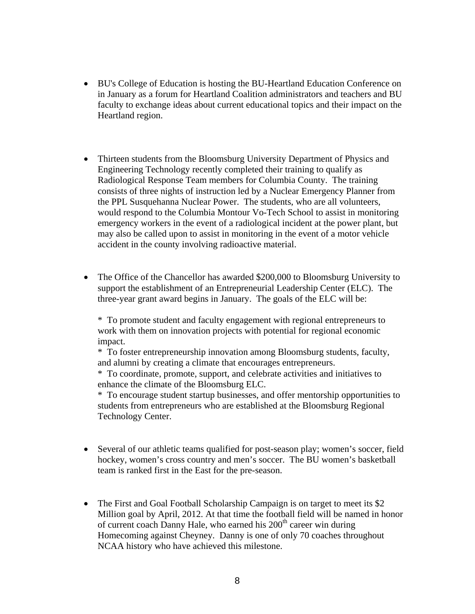- BU's College of Education is hosting the BU-Heartland Education Conference on in January as a forum for Heartland Coalition administrators and teachers and BU faculty to exchange ideas about current educational topics and their impact on the Heartland region.
- Thirteen students from the Bloomsburg University Department of Physics and Engineering Technology recently completed their training to qualify as Radiological Response Team members for Columbia County. The training consists of three nights of instruction led by a Nuclear Emergency Planner from the PPL Susquehanna Nuclear Power. The students, who are all volunteers, would respond to the Columbia Montour Vo-Tech School to assist in monitoring emergency workers in the event of a radiological incident at the power plant, but may also be called upon to assist in monitoring in the event of a motor vehicle accident in the county involving radioactive material.
- The Office of the Chancellor has awarded \$200,000 to Bloomsburg University to support the establishment of an Entrepreneurial Leadership Center (ELC). The three-year grant award begins in January. The goals of the ELC will be:

\* To promote student and faculty engagement with regional entrepreneurs to work with them on innovation projects with potential for regional economic impact.

\* To foster entrepreneurship innovation among Bloomsburg students, faculty, and alumni by creating a climate that encourages entrepreneurs.

\* To coordinate, promote, support, and celebrate activities and initiatives to enhance the climate of the Bloomsburg ELC.

\* To encourage student startup businesses, and offer mentorship opportunities to students from entrepreneurs who are established at the Bloomsburg Regional Technology Center.

- Several of our athletic teams qualified for post-season play; women's soccer, field hockey, women's cross country and men's soccer. The BU women's basketball team is ranked first in the East for the pre-season.
- The First and Goal Football Scholarship Campaign is on target to meet its \$2 Million goal by April, 2012. At that time the football field will be named in honor of current coach Danny Hale, who earned his 200<sup>th</sup> career win during Homecoming against Cheyney. Danny is one of only 70 coaches throughout NCAA history who have achieved this milestone.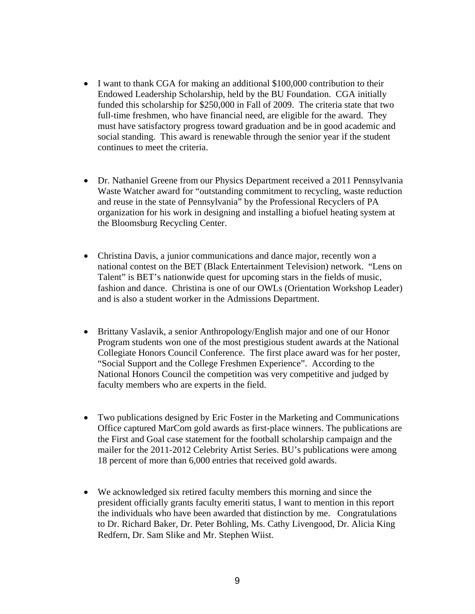- I want to thank CGA for making an additional \$100,000 contribution to their Endowed Leadership Scholarship, held by the BU Foundation. CGA initially funded this scholarship for \$250,000 in Fall of 2009. The criteria state that two full-time freshmen, who have financial need, are eligible for the award. They must have satisfactory progress toward graduation and be in good academic and social standing. This award is renewable through the senior year if the student continues to meet the criteria.
- Dr. Nathaniel Greene from our Physics Department received a 2011 Pennsylvania Waste Watcher award for "outstanding commitment to recycling, waste reduction and reuse in the state of Pennsylvania" by the Professional Recyclers of PA organization for his work in designing and installing a biofuel heating system at the Bloomsburg Recycling Center.
- Christina Davis, a junior communications and dance major, recently won a national contest on the BET (Black Entertainment Television) network. "Lens on Talent" is BET's nationwide quest for upcoming stars in the fields of music, fashion and dance. Christina is one of our OWLs (Orientation Workshop Leader) and is also a student worker in the Admissions Department.
- Brittany Vaslavik, a senior Anthropology/English major and one of our Honor Program students won one of the most prestigious student awards at the National Collegiate Honors Council Conference. The first place award was for her poster, "Social Support and the College Freshmen Experience". According to the National Honors Council the competition was very competitive and judged by faculty members who are experts in the field.
- Two publications designed by Eric Foster in the Marketing and Communications Office captured MarCom gold awards as first-place winners. The publications are the First and Goal case statement for the football scholarship campaign and the mailer for the 2011-2012 Celebrity Artist Series. BU's publications were among 18 percent of more than 6,000 entries that received gold awards.
- We acknowledged six retired faculty members this morning and since the president officially grants faculty emeriti status, I want to mention in this report the individuals who have been awarded that distinction by me. Congratulations to Dr. Richard Baker, Dr. Peter Bohling, Ms. Cathy Livengood, Dr. Alicia King Redfern, Dr. Sam Slike and Mr. Stephen Wiist.